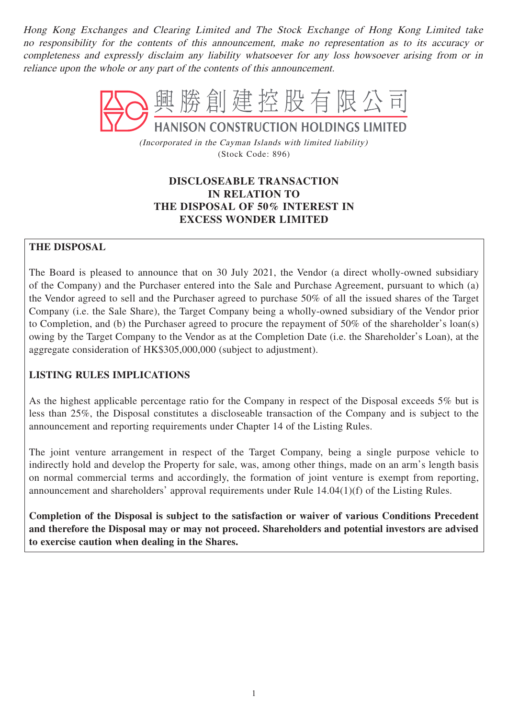Hong Kong Exchanges and Clearing Limited and The Stock Exchange of Hong Kong Limited take no responsibility for the contents of this announcement, make no representation as to its accuracy or completeness and expressly disclaim any liability whatsoever for any loss howsoever arising from or in reliance upon the whole or any part of the contents of this announcement.



(Incorporated in the Cayman Islands with limited liability) (Stock Code: 896)

# **DISCLOSEABLE TRANSACTION IN RELATION TO THE DISPOSAL OF 50% INTEREST IN EXCESS WONDER LIMITED**

# **THE DISPOSAL**

The Board is pleased to announce that on 30 July 2021, the Vendor (a direct wholly-owned subsidiary of the Company) and the Purchaser entered into the Sale and Purchase Agreement, pursuant to which (a) the Vendor agreed to sell and the Purchaser agreed to purchase 50% of all the issued shares of the Target Company (i.e. the Sale Share), the Target Company being a wholly-owned subsidiary of the Vendor prior to Completion, and (b) the Purchaser agreed to procure the repayment of 50% of the shareholder's loan(s) owing by the Target Company to the Vendor as at the Completion Date (i.e. the Shareholder's Loan), at the aggregate consideration of HK\$305,000,000 (subject to adjustment).

# **LISTING RULES IMPLICATIONS**

As the highest applicable percentage ratio for the Company in respect of the Disposal exceeds 5% but is less than 25%, the Disposal constitutes a discloseable transaction of the Company and is subject to the announcement and reporting requirements under Chapter 14 of the Listing Rules.

The joint venture arrangement in respect of the Target Company, being a single purpose vehicle to indirectly hold and develop the Property for sale, was, among other things, made on an arm's length basis on normal commercial terms and accordingly, the formation of joint venture is exempt from reporting, announcement and shareholders' approval requirements under Rule 14.04(1)(f) of the Listing Rules.

**Completion of the Disposal is subject to the satisfaction or waiver of various Conditions Precedent and therefore the Disposal may or may not proceed. Shareholders and potential investors are advised to exercise caution when dealing in the Shares.**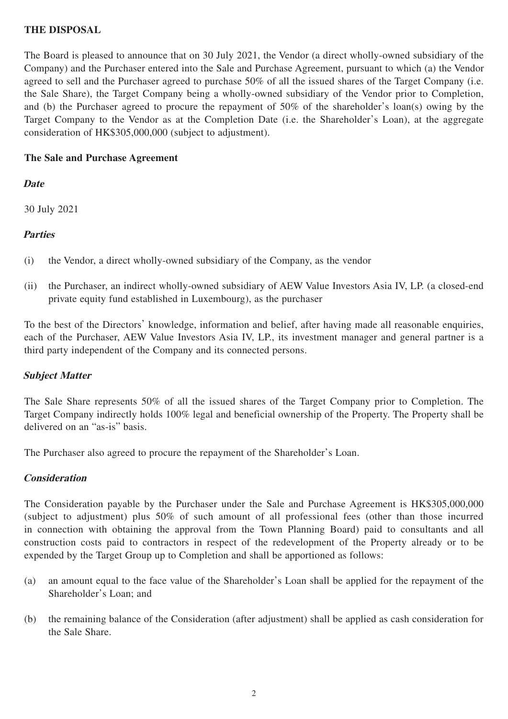# **THE DISPOSAL**

The Board is pleased to announce that on 30 July 2021, the Vendor (a direct wholly-owned subsidiary of the Company) and the Purchaser entered into the Sale and Purchase Agreement, pursuant to which (a) the Vendor agreed to sell and the Purchaser agreed to purchase 50% of all the issued shares of the Target Company (i.e. the Sale Share), the Target Company being a wholly-owned subsidiary of the Vendor prior to Completion, and (b) the Purchaser agreed to procure the repayment of 50% of the shareholder's loan(s) owing by the Target Company to the Vendor as at the Completion Date (i.e. the Shareholder's Loan), at the aggregate consideration of HK\$305,000,000 (subject to adjustment).

# **The Sale and Purchase Agreement**

# **Date**

30 July 2021

# **Parties**

- (i) the Vendor, a direct wholly-owned subsidiary of the Company, as the vendor
- (ii) the Purchaser, an indirect wholly-owned subsidiary of AEW Value Investors Asia IV, LP. (a closed-end private equity fund established in Luxembourg), as the purchaser

To the best of the Directors' knowledge, information and belief, after having made all reasonable enquiries, each of the Purchaser, AEW Value Investors Asia IV, LP., its investment manager and general partner is a third party independent of the Company and its connected persons.

# **Subject Matter**

The Sale Share represents 50% of all the issued shares of the Target Company prior to Completion. The Target Company indirectly holds 100% legal and beneficial ownership of the Property. The Property shall be delivered on an "as-is" basis.

The Purchaser also agreed to procure the repayment of the Shareholder's Loan.

# **Consideration**

The Consideration payable by the Purchaser under the Sale and Purchase Agreement is HK\$305,000,000 (subject to adjustment) plus 50% of such amount of all professional fees (other than those incurred in connection with obtaining the approval from the Town Planning Board) paid to consultants and all construction costs paid to contractors in respect of the redevelopment of the Property already or to be expended by the Target Group up to Completion and shall be apportioned as follows:

- (a) an amount equal to the face value of the Shareholder's Loan shall be applied for the repayment of the Shareholder's Loan; and
- (b) the remaining balance of the Consideration (after adjustment) shall be applied as cash consideration for the Sale Share.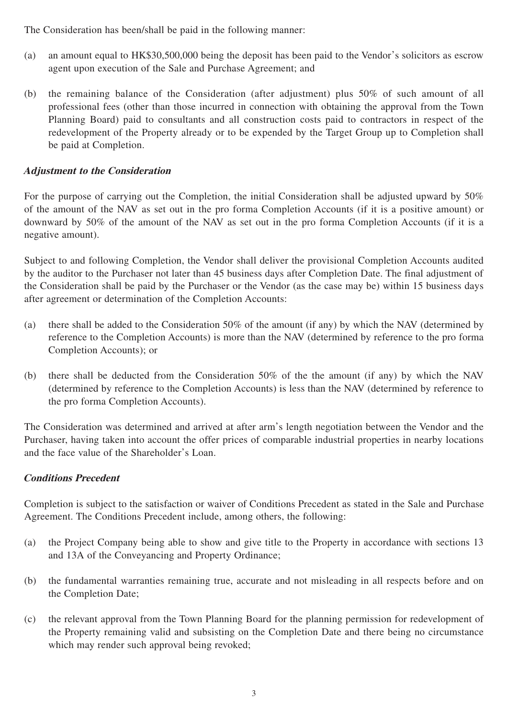The Consideration has been/shall be paid in the following manner:

- (a) an amount equal to HK\$30,500,000 being the deposit has been paid to the Vendor's solicitors as escrow agent upon execution of the Sale and Purchase Agreement; and
- (b) the remaining balance of the Consideration (after adjustment) plus 50% of such amount of all professional fees (other than those incurred in connection with obtaining the approval from the Town Planning Board) paid to consultants and all construction costs paid to contractors in respect of the redevelopment of the Property already or to be expended by the Target Group up to Completion shall be paid at Completion.

# **Adjustment to the Consideration**

For the purpose of carrying out the Completion, the initial Consideration shall be adjusted upward by 50% of the amount of the NAV as set out in the pro forma Completion Accounts (if it is a positive amount) or downward by 50% of the amount of the NAV as set out in the pro forma Completion Accounts (if it is a negative amount).

Subject to and following Completion, the Vendor shall deliver the provisional Completion Accounts audited by the auditor to the Purchaser not later than 45 business days after Completion Date. The final adjustment of the Consideration shall be paid by the Purchaser or the Vendor (as the case may be) within 15 business days after agreement or determination of the Completion Accounts:

- (a) there shall be added to the Consideration 50% of the amount (if any) by which the NAV (determined by reference to the Completion Accounts) is more than the NAV (determined by reference to the pro forma Completion Accounts); or
- (b) there shall be deducted from the Consideration 50% of the the amount (if any) by which the NAV (determined by reference to the Completion Accounts) is less than the NAV (determined by reference to the pro forma Completion Accounts).

The Consideration was determined and arrived at after arm's length negotiation between the Vendor and the Purchaser, having taken into account the offer prices of comparable industrial properties in nearby locations and the face value of the Shareholder's Loan.

# **Conditions Precedent**

Completion is subject to the satisfaction or waiver of Conditions Precedent as stated in the Sale and Purchase Agreement. The Conditions Precedent include, among others, the following:

- (a) the Project Company being able to show and give title to the Property in accordance with sections 13 and 13A of the Conveyancing and Property Ordinance;
- (b) the fundamental warranties remaining true, accurate and not misleading in all respects before and on the Completion Date;
- (c) the relevant approval from the Town Planning Board for the planning permission for redevelopment of the Property remaining valid and subsisting on the Completion Date and there being no circumstance which may render such approval being revoked;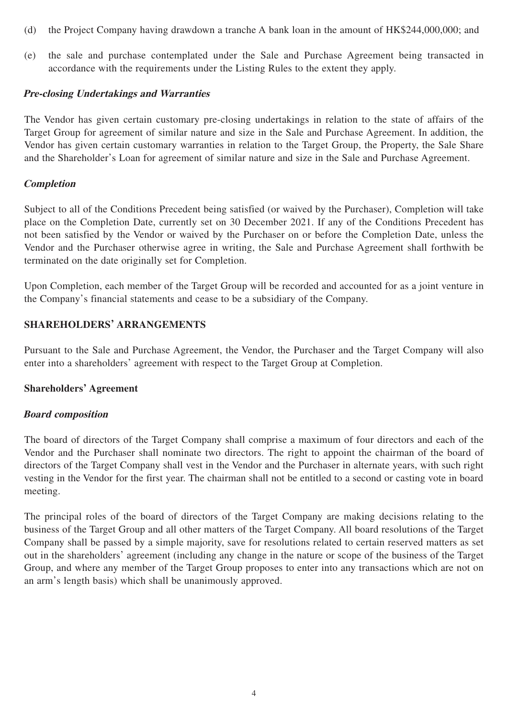- (d) the Project Company having drawdown a tranche A bank loan in the amount of HK\$244,000,000; and
- (e) the sale and purchase contemplated under the Sale and Purchase Agreement being transacted in accordance with the requirements under the Listing Rules to the extent they apply.

#### **Pre-closing Undertakings and Warranties**

The Vendor has given certain customary pre-closing undertakings in relation to the state of affairs of the Target Group for agreement of similar nature and size in the Sale and Purchase Agreement. In addition, the Vendor has given certain customary warranties in relation to the Target Group, the Property, the Sale Share and the Shareholder's Loan for agreement of similar nature and size in the Sale and Purchase Agreement.

#### **Completion**

Subject to all of the Conditions Precedent being satisfied (or waived by the Purchaser), Completion will take place on the Completion Date, currently set on 30 December 2021. If any of the Conditions Precedent has not been satisfied by the Vendor or waived by the Purchaser on or before the Completion Date, unless the Vendor and the Purchaser otherwise agree in writing, the Sale and Purchase Agreement shall forthwith be terminated on the date originally set for Completion.

Upon Completion, each member of the Target Group will be recorded and accounted for as a joint venture in the Company's financial statements and cease to be a subsidiary of the Company.

#### **SHAREHOLDERS' ARRANGEMENTS**

Pursuant to the Sale and Purchase Agreement, the Vendor, the Purchaser and the Target Company will also enter into a shareholders' agreement with respect to the Target Group at Completion.

#### **Shareholders' Agreement**

### **Board composition**

The board of directors of the Target Company shall comprise a maximum of four directors and each of the Vendor and the Purchaser shall nominate two directors. The right to appoint the chairman of the board of directors of the Target Company shall vest in the Vendor and the Purchaser in alternate years, with such right vesting in the Vendor for the first year. The chairman shall not be entitled to a second or casting vote in board meeting.

The principal roles of the board of directors of the Target Company are making decisions relating to the business of the Target Group and all other matters of the Target Company. All board resolutions of the Target Company shall be passed by a simple majority, save for resolutions related to certain reserved matters as set out in the shareholders' agreement (including any change in the nature or scope of the business of the Target Group, and where any member of the Target Group proposes to enter into any transactions which are not on an arm's length basis) which shall be unanimously approved.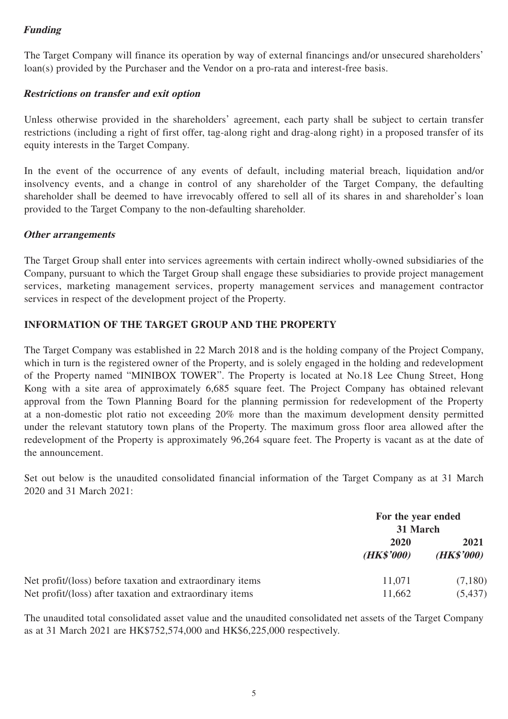# **Funding**

The Target Company will finance its operation by way of external financings and/or unsecured shareholders' loan(s) provided by the Purchaser and the Vendor on a pro-rata and interest-free basis.

# **Restrictions on transfer and exit option**

Unless otherwise provided in the shareholders' agreement, each party shall be subject to certain transfer restrictions (including a right of first offer, tag-along right and drag-along right) in a proposed transfer of its equity interests in the Target Company.

In the event of the occurrence of any events of default, including material breach, liquidation and/or insolvency events, and a change in control of any shareholder of the Target Company, the defaulting shareholder shall be deemed to have irrevocably offered to sell all of its shares in and shareholder's loan provided to the Target Company to the non-defaulting shareholder.

### **Other arrangements**

The Target Group shall enter into services agreements with certain indirect wholly-owned subsidiaries of the Company, pursuant to which the Target Group shall engage these subsidiaries to provide project management services, marketing management services, property management services and management contractor services in respect of the development project of the Property.

# **INFORMATION OF THE TARGET GROUP AND THE PROPERTY**

The Target Company was established in 22 March 2018 and is the holding company of the Project Company, which in turn is the registered owner of the Property, and is solely engaged in the holding and redevelopment of the Property named "MINIBOX TOWER". The Property is located at No.18 Lee Chung Street, Hong Kong with a site area of approximately 6,685 square feet. The Project Company has obtained relevant approval from the Town Planning Board for the planning permission for redevelopment of the Property at a non-domestic plot ratio not exceeding 20% more than the maximum development density permitted under the relevant statutory town plans of the Property. The maximum gross floor area allowed after the redevelopment of the Property is approximately 96,264 square feet. The Property is vacant as at the date of the announcement.

Set out below is the unaudited consolidated financial information of the Target Company as at 31 March 2020 and 31 March 2021:

|                                                           | For the year ended<br>31 March |                             |
|-----------------------------------------------------------|--------------------------------|-----------------------------|
|                                                           | 2020<br>( <b>HK\$'000</b> )    | 2021<br>( <b>HK\$'000</b> ) |
| Net profit/(loss) before taxation and extraordinary items | 11,071                         | (7,180)                     |
| Net profit/(loss) after taxation and extraordinary items  | 11,662                         | (5, 437)                    |

The unaudited total consolidated asset value and the unaudited consolidated net assets of the Target Company as at 31 March 2021 are HK\$752,574,000 and HK\$6,225,000 respectively.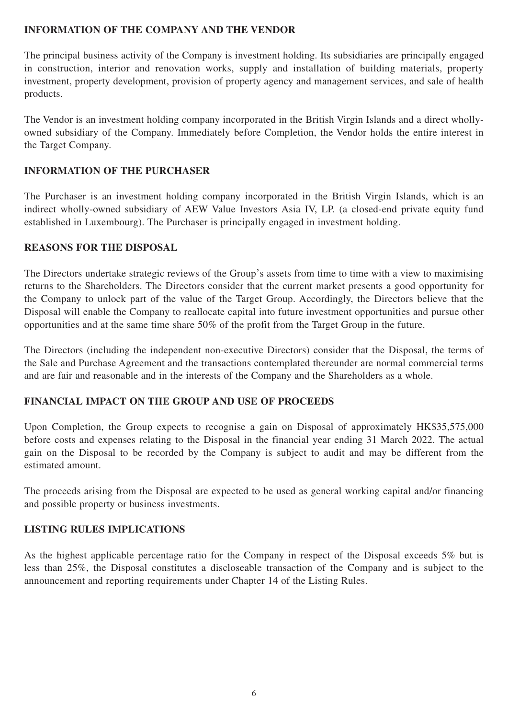# **INFORMATION OF THE COMPANY AND THE VENDOR**

The principal business activity of the Company is investment holding. Its subsidiaries are principally engaged in construction, interior and renovation works, supply and installation of building materials, property investment, property development, provision of property agency and management services, and sale of health products.

The Vendor is an investment holding company incorporated in the British Virgin Islands and a direct whollyowned subsidiary of the Company. Immediately before Completion, the Vendor holds the entire interest in the Target Company.

# **INFORMATION OF THE PURCHASER**

The Purchaser is an investment holding company incorporated in the British Virgin Islands, which is an indirect wholly-owned subsidiary of AEW Value Investors Asia IV, LP. (a closed-end private equity fund established in Luxembourg). The Purchaser is principally engaged in investment holding.

# **REASONS FOR THE DISPOSAL**

The Directors undertake strategic reviews of the Group's assets from time to time with a view to maximising returns to the Shareholders. The Directors consider that the current market presents a good opportunity for the Company to unlock part of the value of the Target Group. Accordingly, the Directors believe that the Disposal will enable the Company to reallocate capital into future investment opportunities and pursue other opportunities and at the same time share 50% of the profit from the Target Group in the future.

The Directors (including the independent non-executive Directors) consider that the Disposal, the terms of the Sale and Purchase Agreement and the transactions contemplated thereunder are normal commercial terms and are fair and reasonable and in the interests of the Company and the Shareholders as a whole.

# **FINANCIAL IMPACT ON THE GROUP AND USE OF PROCEEDS**

Upon Completion, the Group expects to recognise a gain on Disposal of approximately HK\$35,575,000 before costs and expenses relating to the Disposal in the financial year ending 31 March 2022. The actual gain on the Disposal to be recorded by the Company is subject to audit and may be different from the estimated amount.

The proceeds arising from the Disposal are expected to be used as general working capital and/or financing and possible property or business investments.

# **LISTING RULES IMPLICATIONS**

As the highest applicable percentage ratio for the Company in respect of the Disposal exceeds 5% but is less than 25%, the Disposal constitutes a discloseable transaction of the Company and is subject to the announcement and reporting requirements under Chapter 14 of the Listing Rules.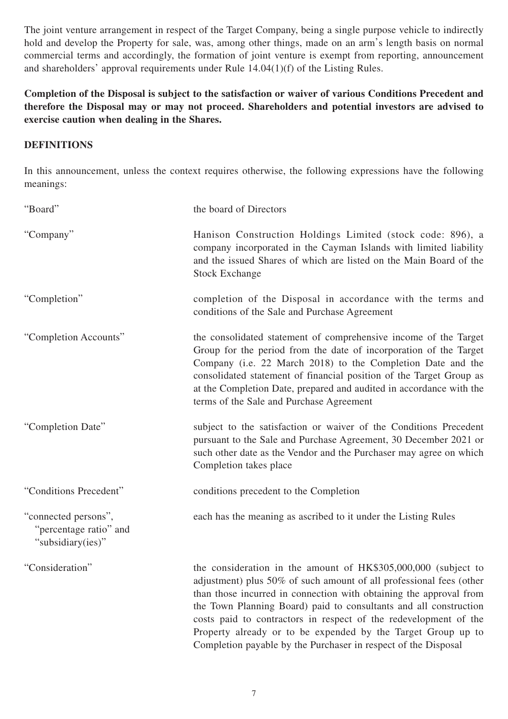The joint venture arrangement in respect of the Target Company, being a single purpose vehicle to indirectly hold and develop the Property for sale, was, among other things, made on an arm's length basis on normal commercial terms and accordingly, the formation of joint venture is exempt from reporting, announcement and shareholders' approval requirements under Rule 14.04(1)(f) of the Listing Rules.

**Completion of the Disposal is subject to the satisfaction or waiver of various Conditions Precedent and therefore the Disposal may or may not proceed. Shareholders and potential investors are advised to exercise caution when dealing in the Shares.**

# **DEFINITIONS**

In this announcement, unless the context requires otherwise, the following expressions have the following meanings:

| "Board"                                                             | the board of Directors                                                                                                                                                                                                                                                                                                                                                                                               |
|---------------------------------------------------------------------|----------------------------------------------------------------------------------------------------------------------------------------------------------------------------------------------------------------------------------------------------------------------------------------------------------------------------------------------------------------------------------------------------------------------|
| "Company"                                                           | Hanison Construction Holdings Limited (stock code: 896), a<br>company incorporated in the Cayman Islands with limited liability<br>and the issued Shares of which are listed on the Main Board of the<br><b>Stock Exchange</b>                                                                                                                                                                                       |
| "Completion"                                                        | completion of the Disposal in accordance with the terms and<br>conditions of the Sale and Purchase Agreement                                                                                                                                                                                                                                                                                                         |
| "Completion Accounts"                                               | the consolidated statement of comprehensive income of the Target<br>Group for the period from the date of incorporation of the Target<br>Company (i.e. 22 March 2018) to the Completion Date and the<br>consolidated statement of financial position of the Target Group as<br>at the Completion Date, prepared and audited in accordance with the<br>terms of the Sale and Purchase Agreement                       |
| "Completion Date"                                                   | subject to the satisfaction or waiver of the Conditions Precedent<br>pursuant to the Sale and Purchase Agreement, 30 December 2021 or<br>such other date as the Vendor and the Purchaser may agree on which<br>Completion takes place                                                                                                                                                                                |
| "Conditions Precedent"                                              | conditions precedent to the Completion                                                                                                                                                                                                                                                                                                                                                                               |
| "connected persons",<br>"percentage ratio" and<br>"subsidiary(ies)" | each has the meaning as ascribed to it under the Listing Rules                                                                                                                                                                                                                                                                                                                                                       |
| "Consideration"                                                     | the consideration in the amount of HK\$305,000,000 (subject to<br>adjustment) plus 50% of such amount of all professional fees (other<br>than those incurred in connection with obtaining the approval from<br>the Town Planning Board) paid to consultants and all construction<br>costs paid to contractors in respect of the redevelopment of the<br>Property already or to be expended by the Target Group up to |

Completion payable by the Purchaser in respect of the Disposal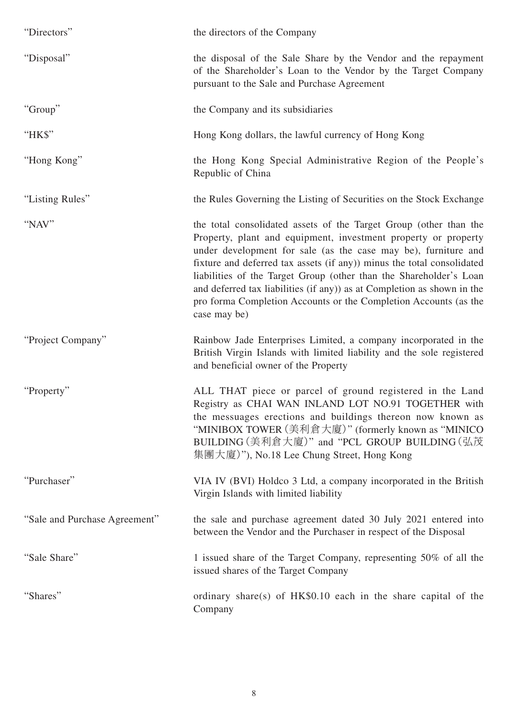| "Directors"                   | the directors of the Company                                                                                                                                                                                                                                                                                                                                                                                                                                                                                         |
|-------------------------------|----------------------------------------------------------------------------------------------------------------------------------------------------------------------------------------------------------------------------------------------------------------------------------------------------------------------------------------------------------------------------------------------------------------------------------------------------------------------------------------------------------------------|
| "Disposal"                    | the disposal of the Sale Share by the Vendor and the repayment<br>of the Shareholder's Loan to the Vendor by the Target Company<br>pursuant to the Sale and Purchase Agreement                                                                                                                                                                                                                                                                                                                                       |
| "Group"                       | the Company and its subsidiaries                                                                                                                                                                                                                                                                                                                                                                                                                                                                                     |
| "НК\$"                        | Hong Kong dollars, the lawful currency of Hong Kong                                                                                                                                                                                                                                                                                                                                                                                                                                                                  |
| "Hong Kong"                   | the Hong Kong Special Administrative Region of the People's<br>Republic of China                                                                                                                                                                                                                                                                                                                                                                                                                                     |
| "Listing Rules"               | the Rules Governing the Listing of Securities on the Stock Exchange                                                                                                                                                                                                                                                                                                                                                                                                                                                  |
| "NAV"                         | the total consolidated assets of the Target Group (other than the<br>Property, plant and equipment, investment property or property<br>under development for sale (as the case may be), furniture and<br>fixture and deferred tax assets (if any)) minus the total consolidated<br>liabilities of the Target Group (other than the Shareholder's Loan<br>and deferred tax liabilities (if any)) as at Completion as shown in the<br>pro forma Completion Accounts or the Completion Accounts (as the<br>case may be) |
| "Project Company"             | Rainbow Jade Enterprises Limited, a company incorporated in the<br>British Virgin Islands with limited liability and the sole registered<br>and beneficial owner of the Property                                                                                                                                                                                                                                                                                                                                     |
| "Property"                    | ALL THAT piece or parcel of ground registered in the Land<br>Registry as CHAI WAN INLAND LOT NO.91 TOGETHER with<br>the messuages erections and buildings thereon now known as<br>"MINIBOX TOWER (美利倉大廈)" (formerly known as "MINICO<br>BUILDING (美利倉大廈)" and "PCL GROUP BUILDING (弘茂<br>集團大廈)"), No.18 Lee Chung Street, Hong Kong                                                                                                                                                                                  |
| "Purchaser"                   | VIA IV (BVI) Holdco 3 Ltd, a company incorporated in the British<br>Virgin Islands with limited liability                                                                                                                                                                                                                                                                                                                                                                                                            |
| "Sale and Purchase Agreement" | the sale and purchase agreement dated 30 July 2021 entered into<br>between the Vendor and the Purchaser in respect of the Disposal                                                                                                                                                                                                                                                                                                                                                                                   |
| "Sale Share"                  | 1 issued share of the Target Company, representing 50% of all the<br>issued shares of the Target Company                                                                                                                                                                                                                                                                                                                                                                                                             |
| "Shares"                      | ordinary share(s) of $HK$0.10$ each in the share capital of the<br>Company                                                                                                                                                                                                                                                                                                                                                                                                                                           |